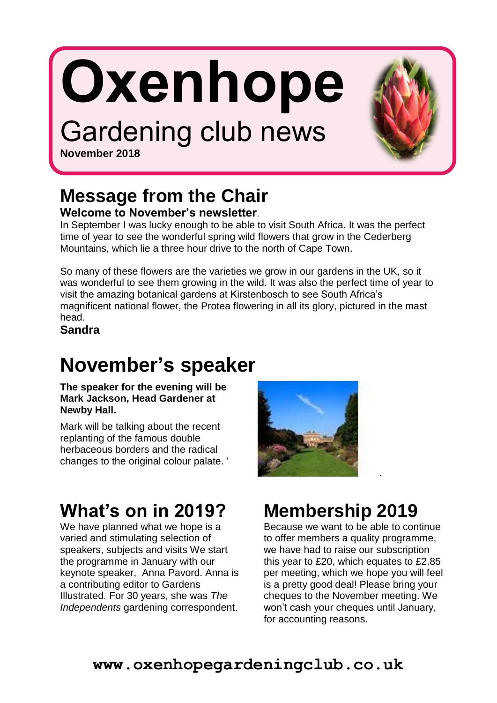# **Oxenhope**

# Gardening club news



**November 2018**

#### **Message from the Chair Welcome to November's newsletter**.

In September I was lucky enough to be able to visit South Africa. It was the perfect time of year to see the wonderful spring wild flowers that grow in the Cederberg Mountains, which lie a three hour drive to the north of Cape Town.

So many of these flowers are the varieties we grow in our gardens in the UK, so it was wonderful to see them growing in the wild. It was also the perfect time of year to visit the amazing botanical gardens at Kirstenbosch to see South Africa's magnificent national flower, the Protea flowering in all its glory, pictured in the mast head.

**Sandra**

## **November's speaker**

**The speaker for the evening will be Mark Jackson, Head Gardener at Newby Hall.**

Mark will be talking about the recent replanting of the famous double herbaceous borders and the radical changes to the original colour palate. '

# **What's on in 2019?**

We have planned what we hope is a varied and stimulating selection of speakers, subjects and visits We start the programme in January with our keynote speaker, Anna Pavord. Anna is a contributing editor to Gardens Illustrated. For 30 years, she was *The Independents* gardening correspondent.



## **Membership 2019**

Because we want to be able to continue to offer members a quality programme, we have had to raise our subscription this year to £20, which equates to £2.85 per meeting, which we hope you will feel is a pretty good deal! Please bring your cheques to the November meeting. We won't cash your cheques until January, for accounting reasons.

.